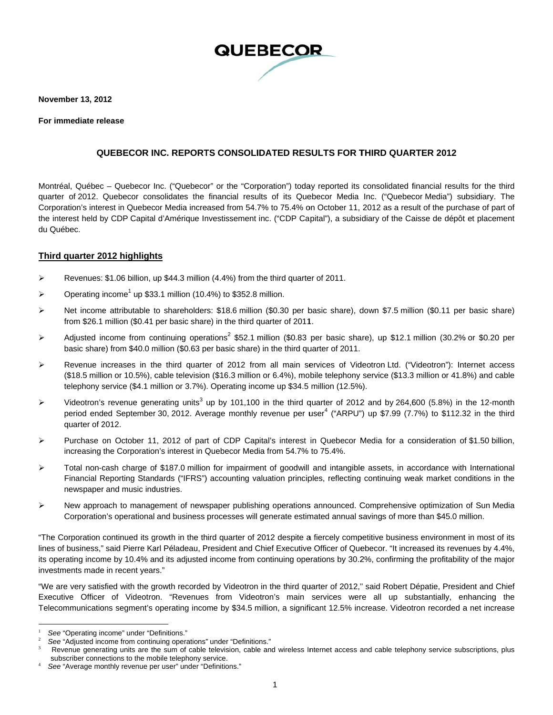

**Nov vember 13, 20 12** 

#### **For r immediate re elease**

### **Q QUEBECOR IN NC. REPORT TS CONSOLI IDATED RES SULTS FOR T THIRD QUAR RTER 2012**

Montréal, Québec – Quebecor Inc. ("Quebecor" or the "Corporation") today reported its consolidated financial results for the third quarter of 2012. Quebecor consolidates the financial results of its Quebecor Media Inc. ("Quebecor Media") subsidiary. The Corporation's interest in Quebecor Media increased from 54.7% to 75.4% on October 11, 2012 as a result of the purchase of part of the interest held by CDP Capital d'Amérique Investissement inc. ("CDP Capital"), a subsidiary of the Caisse de dépôt et placement du Q Québec.

#### **Third quarter 2012 highlights**

- $\triangleright$ Revenues: \$1.06 billion, up \$44.3 million (4.4%) from the third quarter of 2011.
- $\blacktriangleright$ Operating income<sup>1</sup> up \$33.1 million (10.4%) to \$352.8 million.
- $\triangleright$ Net income attributable to shareholders: \$18.6 million (\$0.30 per basic share), down \$7.5 million (\$0.11 per basic share) from \$26.1 million (\$0.41 per basic share) in the third quarter of 2011.
- ¾ Adjusted income from continuing operations<sup>2</sup> \$52.1 million (\$0.83 per basic share), up \$12.1 million (30.2% or \$0.20 per basic share) from \$40.0 million (\$0.63 per basic share) in the third quarter of 2011.
- $\triangleright$ Revenue increases in the third quarter of 2012 from all main services of Videotron Ltd. ("Videotron"): Internet access (\$18.5 million or 10.5%), cable television (\$16.3 million or 6.4%), mobile telephony service (\$13.3 million or 41.8%) and cable telephony service (\$4.1 million or 3.7%). Operating income up \$34.5 million (12.5%).
- $\triangleright$ Videotron's revenue generating units<sup>3</sup> up by 101,100 in the third quarter of 2012 and by 264,600 (5.8%) in the 12-month period ended September 30, 2012. Average monthly revenue per user<sup>4</sup> ("ARPU") up \$7.99 (7.7%) to \$112.32 in the third quarter of 2 2012.
- $\triangleright$ Purchase on October 11, 2012 of part of CDP Capital's interest in Quebecor Media for a consideration of \$1.50 billion, increasing the Corporation's interest in Quebecor Media from 54.7% to 75.4%.
- $\blacktriangleright$ Total non-cash charge of \$187.0 million for impairment of goodwill and intangible assets, in accordance with International Financial Reporting Standards ("IFRS") accounting valuation principles, reflecting continuing weak market conditions in the newspaper and music industries.
- $\blacktriangleright$ New approach to management of newspaper publishing operations announced. Comprehensive optimization of Sun Media Corporation's operational and business processes will generate estimated annual savings of more than \$45.0 million.

"The Corporation continued its growth in the third quarter of 2012 despite a fiercely competitive business environment in most of its lines of business," said Pierre Karl Péladeau, President and Chief Executive Officer of Quebecor. "It increased its revenues by 4.4%, its operating income by 10.4% and its adjusted income from continuing operations by 30.2%, confirming the profitability of the major investments made in recent years."

"We are very satisfied with the growth recorded by Videotron in the third quarter of 2012," said Robert Dépatie, President and Chief Executive Officer of Videotron. "Revenues from Videotron's main services were all up substantially, enhancing the Telecommunications segment's operating income by \$34.5 million, a significant 12.5% increase. Videotron recorded a net increase

<sup>1</sup> 1 See "Operating income" under "Definitions."  $\overline{a}$  $\overline{a}$  $\overline{a}$ 

<sup>2</sup> See "Adjusted income from continuing operations" under "Definitions."

<sup>3</sup> subscriber connections to the mobile telephony service. Revenue generating units are the sum of cable television, cable and wireless Internet access and cable telephony service subscriptions, plus

<sup>4</sup> See "Average monthly revenue per user" under "Definitions."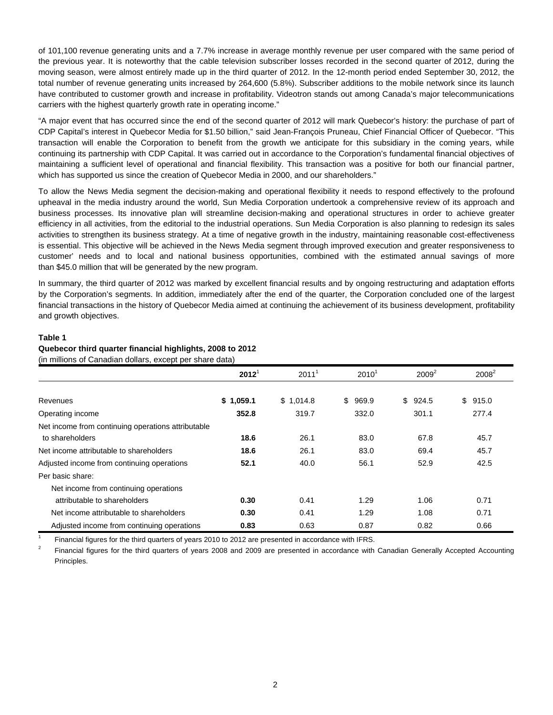of 101,100 revenue generating units and a 7.7% increase in average monthly revenue per user compared with the same period of the previous year. It is noteworthy that the cable television subscriber losses recorded in the second quarter of 2012, during the moving season, were almost entirely made up in the third quarter of 2012. In the 12-month period ended September 30, 2012, the total number of revenue generating units increased by 264,600 (5.8%). Subscriber additions to the mobile network since its launch have contributed to customer growth and increase in profitability. Videotron stands out among Canada's major telecommunications carriers with the highest quarterly growth rate in operating income."

"A major event that has occurred since the end of the second quarter of 2012 will mark Quebecor's history: the purchase of part of CDP Capital's interest in Quebecor Media for \$1.50 billion," said Jean-François Pruneau, Chief Financial Officer of Quebecor. "This transaction will enable the Corporation to benefit from the growth we anticipate for this subsidiary in the coming years, while continuing its partnership with CDP Capital. It was carried out in accordance to the Corporation's fundamental financial objectives of maintaining a sufficient level of operational and financial flexibility. This transaction was a positive for both our financial partner, which has supported us since the creation of Quebecor Media in 2000, and our shareholders."

To allow the News Media segment the decision-making and operational flexibility it needs to respond effectively to the profound upheaval in the media industry around the world, Sun Media Corporation undertook a comprehensive review of its approach and business processes. Its innovative plan will streamline decision-making and operational structures in order to achieve greater efficiency in all activities, from the editorial to the industrial operations. Sun Media Corporation is also planning to redesign its sales activities to strengthen its business strategy. At a time of negative growth in the industry, maintaining reasonable cost-effectiveness is essential. This objective will be achieved in the News Media segment through improved execution and greater responsiveness to customer' needs and to local and national business opportunities, combined with the estimated annual savings of more than \$45.0 million that will be generated by the new program.

In summary, the third quarter of 2012 was marked by excellent financial results and by ongoing restructuring and adaptation efforts by the Corporation's segments. In addition, immediately after the end of the quarter, the Corporation concluded one of the largest financial transactions in the history of Quebecor Media aimed at continuing the achievement of its business development, profitability and growth objectives.

#### **Table 1**

#### **Quebecor third quarter financial highlights, 2008 to 2012**

(in millions of Canadian dollars, except per share data)

|                                                    | 2012 <sup>1</sup> | 2011 <sup>1</sup> | $2010^{1}$  | $2009^2$    | $2008^2$    |
|----------------------------------------------------|-------------------|-------------------|-------------|-------------|-------------|
|                                                    |                   |                   |             |             |             |
| Revenues                                           | \$1,059.1         | \$1,014.8         | \$<br>969.9 | \$<br>924.5 | \$<br>915.0 |
| Operating income                                   | 352.8             | 319.7             | 332.0       | 301.1       | 277.4       |
| Net income from continuing operations attributable |                   |                   |             |             |             |
| to shareholders                                    | 18.6              | 26.1              | 83.0        | 67.8        | 45.7        |
| Net income attributable to shareholders            | 18.6              | 26.1              | 83.0        | 69.4        | 45.7        |
| Adjusted income from continuing operations         | 52.1              | 40.0              | 56.1        | 52.9        | 42.5        |
| Per basic share:                                   |                   |                   |             |             |             |
| Net income from continuing operations              |                   |                   |             |             |             |
| attributable to shareholders                       | 0.30              | 0.41              | 1.29        | 1.06        | 0.71        |
| Net income attributable to shareholders            | 0.30              | 0.41              | 1.29        | 1.08        | 0.71        |
| Adjusted income from continuing operations         | 0.83              | 0.63              | 0.87        | 0.82        | 0.66        |

1 Financial figures for the third quarters of years 2010 to 2012 are presented in accordance with IFRS.

2 Financial figures for the third quarters of years 2008 and 2009 are presented in accordance with Canadian Generally Accepted Accounting Principles.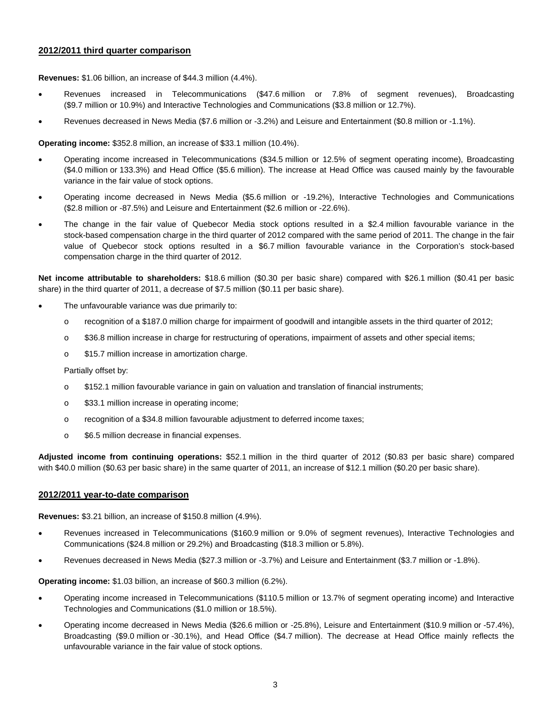### **2012/2011 third quarter comparison**

**Revenues:** \$1.06 billion, an increase of \$44.3 million (4.4%).

- Revenues increased in Telecommunications (\$47.6 million or 7.8% of segment revenues), Broadcasting (\$9.7 million or 10.9%) and Interactive Technologies and Communications (\$3.8 million or 12.7%).
- Revenues decreased in News Media (\$7.6 million or -3.2%) and Leisure and Entertainment (\$0.8 million or -1.1%).

**Operating income:** \$352.8 million, an increase of \$33.1 million (10.4%).

- Operating income increased in Telecommunications (\$34.5 million or 12.5% of segment operating income), Broadcasting (\$4.0 million or 133.3%) and Head Office (\$5.6 million). The increase at Head Office was caused mainly by the favourable variance in the fair value of stock options.
- Operating income decreased in News Media (\$5.6 million or -19.2%), Interactive Technologies and Communications (\$2.8 million or -87.5%) and Leisure and Entertainment (\$2.6 million or -22.6%).
- The change in the fair value of Quebecor Media stock options resulted in a \$2.4 million favourable variance in the stock-based compensation charge in the third quarter of 2012 compared with the same period of 2011. The change in the fair value of Quebecor stock options resulted in a \$6.7 million favourable variance in the Corporation's stock-based compensation charge in the third quarter of 2012.

**Net income attributable to shareholders:** \$18.6 million (\$0.30 per basic share) compared with \$26.1 million (\$0.41 per basic share) in the third quarter of 2011, a decrease of \$7.5 million (\$0.11 per basic share).

- The unfavourable variance was due primarily to:
	- o recognition of a \$187.0 million charge for impairment of goodwill and intangible assets in the third quarter of 2012;
	- o \$36.8 million increase in charge for restructuring of operations, impairment of assets and other special items;
	- o \$15.7 million increase in amortization charge.

Partially offset by:

- o \$152.1 million favourable variance in gain on valuation and translation of financial instruments;
- o \$33.1 million increase in operating income;
- o recognition of a \$34.8 million favourable adjustment to deferred income taxes;
- o \$6.5 million decrease in financial expenses.

**Adjusted income from continuing operations:** \$52.1 million in the third quarter of 2012 (\$0.83 per basic share) compared with \$40.0 million (\$0.63 per basic share) in the same quarter of 2011, an increase of \$12.1 million (\$0.20 per basic share).

#### **2012/2011 year-to-date comparison**

**Revenues:** \$3.21 billion, an increase of \$150.8 million (4.9%).

- Revenues increased in Telecommunications (\$160.9 million or 9.0% of segment revenues), Interactive Technologies and Communications (\$24.8 million or 29.2%) and Broadcasting (\$18.3 million or 5.8%).
- Revenues decreased in News Media (\$27.3 million or -3.7%) and Leisure and Entertainment (\$3.7 million or -1.8%).

**Operating income:** \$1.03 billion, an increase of \$60.3 million (6.2%).

- Operating income increased in Telecommunications (\$110.5 million or 13.7% of segment operating income) and Interactive Technologies and Communications (\$1.0 million or 18.5%).
- Operating income decreased in News Media (\$26.6 million or -25.8%), Leisure and Entertainment (\$10.9 million or -57.4%), Broadcasting (\$9.0 million or -30.1%), and Head Office (\$4.7 million). The decrease at Head Office mainly reflects the unfavourable variance in the fair value of stock options.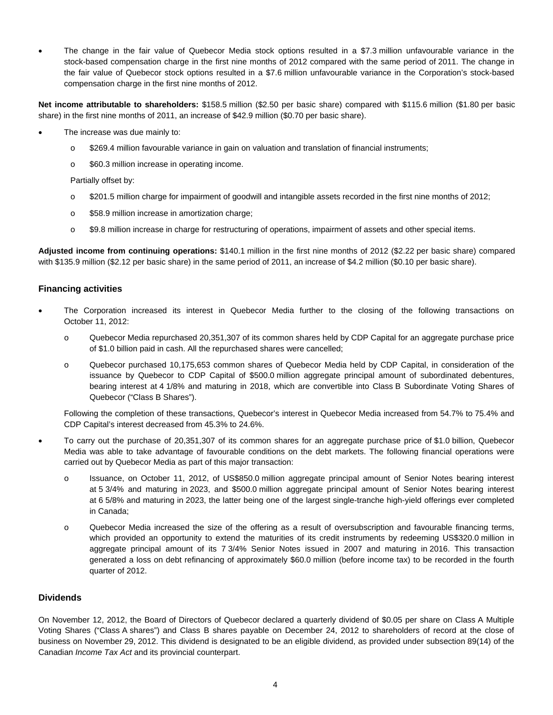• The change in the fair value of Quebecor Media stock options resulted in a \$7.3 million unfavourable variance in the stock-based compensation charge in the first nine months of 2012 compared with the same period of 2011. The change in the fair value of Quebecor stock options resulted in a \$7.6 million unfavourable variance in the Corporation's stock-based compensation charge in the first nine months of 2012.

**Net income attributable to shareholders:** \$158.5 million (\$2.50 per basic share) compared with \$115.6 million (\$1.80 per basic share) in the first nine months of 2011, an increase of \$42.9 million (\$0.70 per basic share).

- The increase was due mainly to:
	- o \$269.4 million favourable variance in gain on valuation and translation of financial instruments;
	- o \$60.3 million increase in operating income.

Partially offset by:

- o \$201.5 million charge for impairment of goodwill and intangible assets recorded in the first nine months of 2012;
- o \$58.9 million increase in amortization charge;
- o \$9.8 million increase in charge for restructuring of operations, impairment of assets and other special items.

**Adjusted income from continuing operations:** \$140.1 million in the first nine months of 2012 (\$2.22 per basic share) compared with \$135.9 million (\$2.12 per basic share) in the same period of 2011, an increase of \$4.2 million (\$0.10 per basic share).

### **Financing activities**

- The Corporation increased its interest in Quebecor Media further to the closing of the following transactions on October 11, 2012:
	- o Quebecor Media repurchased 20,351,307 of its common shares held by CDP Capital for an aggregate purchase price of \$1.0 billion paid in cash. All the repurchased shares were cancelled;
	- o Quebecor purchased 10,175,653 common shares of Quebecor Media held by CDP Capital, in consideration of the issuance by Quebecor to CDP Capital of \$500.0 million aggregate principal amount of subordinated debentures, bearing interest at 4 1/8% and maturing in 2018, which are convertible into Class B Subordinate Voting Shares of Quebecor ("Class B Shares").

Following the completion of these transactions, Quebecor's interest in Quebecor Media increased from 54.7% to 75.4% and CDP Capital's interest decreased from 45.3% to 24.6%.

- To carry out the purchase of 20,351,307 of its common shares for an aggregate purchase price of \$1.0 billion, Quebecor Media was able to take advantage of favourable conditions on the debt markets. The following financial operations were carried out by Quebecor Media as part of this major transaction:
	- o Issuance, on October 11, 2012, of US\$850.0 million aggregate principal amount of Senior Notes bearing interest at 5 3/4% and maturing in 2023, and \$500.0 million aggregate principal amount of Senior Notes bearing interest at 6 5/8% and maturing in 2023, the latter being one of the largest single-tranche high-yield offerings ever completed in Canada;
	- o Quebecor Media increased the size of the offering as a result of oversubscription and favourable financing terms, which provided an opportunity to extend the maturities of its credit instruments by redeeming US\$320.0 million in aggregate principal amount of its 7 3/4% Senior Notes issued in 2007 and maturing in 2016. This transaction generated a loss on debt refinancing of approximately \$60.0 million (before income tax) to be recorded in the fourth quarter of 2012.

#### **Dividends**

On November 12, 2012, the Board of Directors of Quebecor declared a quarterly dividend of \$0.05 per share on Class A Multiple Voting Shares ("Class A shares") and Class B shares payable on December 24, 2012 to shareholders of record at the close of business on November 29, 2012. This dividend is designated to be an eligible dividend, as provided under subsection 89(14) of the Canadian *Income Tax Act* and its provincial counterpart.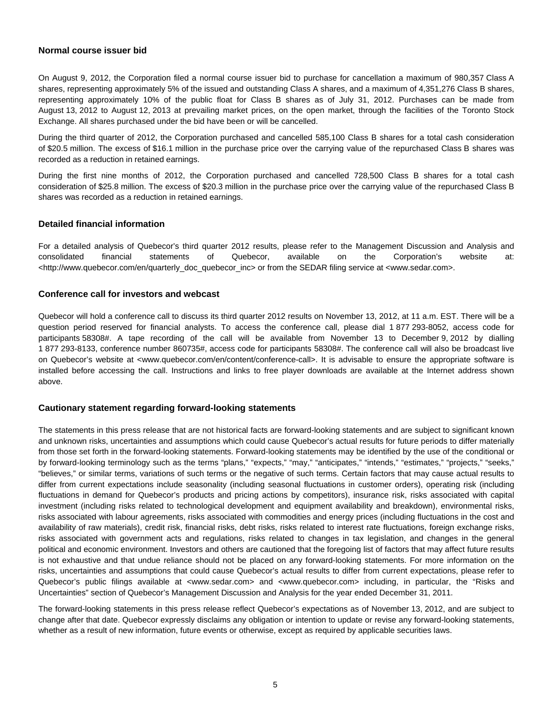#### **Normal course issuer bid**

On August 9, 2012, the Corporation filed a normal course issuer bid to purchase for cancellation a maximum of 980,357 Class A shares, representing approximately 5% of the issued and outstanding Class A shares, and a maximum of 4,351,276 Class B shares, representing approximately 10% of the public float for Class B shares as of July 31, 2012. Purchases can be made from August 13, 2012 to August 12, 2013 at prevailing market prices, on the open market, through the facilities of the Toronto Stock Exchange. All shares purchased under the bid have been or will be cancelled.

During the third quarter of 2012, the Corporation purchased and cancelled 585,100 Class B shares for a total cash consideration of \$20.5 million. The excess of \$16.1 million in the purchase price over the carrying value of the repurchased Class B shares was recorded as a reduction in retained earnings.

During the first nine months of 2012, the Corporation purchased and cancelled 728,500 Class B shares for a total cash consideration of \$25.8 million. The excess of \$20.3 million in the purchase price over the carrying value of the repurchased Class B shares was recorded as a reduction in retained earnings.

#### **Detailed financial information**

For a detailed analysis of Quebecor's third quarter 2012 results, please refer to the Management Discussion and Analysis and consolidated financial statements of Quebecor, available on the Corporation's website at: <http://www.quebecor.com/en/quarterly\_doc\_quebecor\_inc> or from the SEDAR filing service at <www.sedar.com>.

#### **Conference call for investors and webcast**

Quebecor will hold a conference call to discuss its third quarter 2012 results on November 13, 2012, at 11 a.m. EST. There will be a question period reserved for financial analysts. To access the conference call, please dial 1 877 293-8052, access code for participants 58308#. A tape recording of the call will be available from November 13 to December 9, 2012 by dialling 1 877 293-8133, conference number 860735#, access code for participants 58308#. The conference call will also be broadcast live on Quebecor's website at <www.quebecor.com/en/content/conference-call>. It is advisable to ensure the appropriate software is installed before accessing the call. Instructions and links to free player downloads are available at the Internet address shown above.

#### **Cautionary statement regarding forward-looking statements**

The statements in this press release that are not historical facts are forward-looking statements and are subject to significant known and unknown risks, uncertainties and assumptions which could cause Quebecor's actual results for future periods to differ materially from those set forth in the forward-looking statements. Forward-looking statements may be identified by the use of the conditional or by forward-looking terminology such as the terms "plans," "expects," "may," "anticipates," "intends," "estimates," "projects," "seeks," "believes," or similar terms, variations of such terms or the negative of such terms. Certain factors that may cause actual results to differ from current expectations include seasonality (including seasonal fluctuations in customer orders), operating risk (including fluctuations in demand for Quebecor's products and pricing actions by competitors), insurance risk, risks associated with capital investment (including risks related to technological development and equipment availability and breakdown), environmental risks, risks associated with labour agreements, risks associated with commodities and energy prices (including fluctuations in the cost and availability of raw materials), credit risk, financial risks, debt risks, risks related to interest rate fluctuations, foreign exchange risks, risks associated with government acts and regulations, risks related to changes in tax legislation, and changes in the general political and economic environment. Investors and others are cautioned that the foregoing list of factors that may affect future results is not exhaustive and that undue reliance should not be placed on any forward-looking statements. For more information on the risks, uncertainties and assumptions that could cause Quebecor's actual results to differ from current expectations, please refer to Quebecor's public filings available at <www.sedar.com> and <www.quebecor.com> including, in particular, the "Risks and Uncertainties" section of Quebecor's Management Discussion and Analysis for the year ended December 31, 2011.

The forward-looking statements in this press release reflect Quebecor's expectations as of November 13, 2012, and are subject to change after that date. Quebecor expressly disclaims any obligation or intention to update or revise any forward-looking statements, whether as a result of new information, future events or otherwise, except as required by applicable securities laws.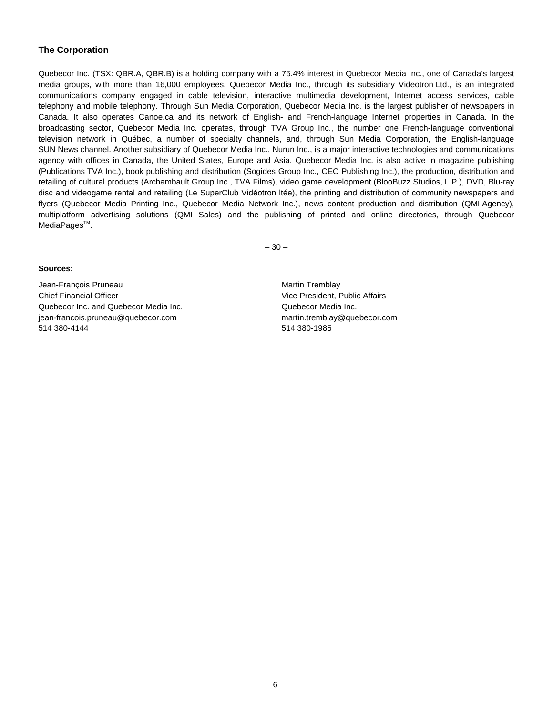#### **The Corporation**

Quebecor Inc. (TSX: QBR.A, QBR.B) is a holding company with a 75.4% interest in Quebecor Media Inc., one of Canada's largest media groups, with more than 16,000 employees. Quebecor Media Inc., through its subsidiary Videotron Ltd., is an integrated communications company engaged in cable television, interactive multimedia development, Internet access services, cable telephony and mobile telephony. Through Sun Media Corporation, Quebecor Media Inc. is the largest publisher of newspapers in Canada. It also operates Canoe.ca and its network of English- and French-language Internet properties in Canada. In the broadcasting sector, Quebecor Media Inc. operates, through TVA Group Inc., the number one French-language conventional television network in Québec, a number of specialty channels, and, through Sun Media Corporation, the English-language SUN News channel. Another subsidiary of Quebecor Media Inc., Nurun Inc., is a major interactive technologies and communications agency with offices in Canada, the United States, Europe and Asia. Quebecor Media Inc. is also active in magazine publishing (Publications TVA Inc.), book publishing and distribution (Sogides Group Inc., CEC Publishing Inc.), the production, distribution and retailing of cultural products (Archambault Group Inc., TVA Films), video game development (BlooBuzz Studios, L.P.), DVD, Blu-ray disc and videogame rental and retailing (Le SuperClub Vidéotron ltée), the printing and distribution of community newspapers and flyers (Quebecor Media Printing Inc., Quebecor Media Network Inc.), news content production and distribution (QMI Agency), multiplatform advertising solutions (QMI Sales) and the publishing of printed and online directories, through Quebecor  $MediaPaaes^{TM}$ .

– 30 –

#### **Sources:**

Jean-François Pruneau **Martin Tremblay** Martin Tremblay Chief Financial Officer Vice President, Public Affairs Quebecor Inc. and Quebecor Media Inc. Quebecor Media Inc. jean-francois.pruneau@quebecor.com martin.tremblay@quebecor.com 514 380-4144 514 380-1985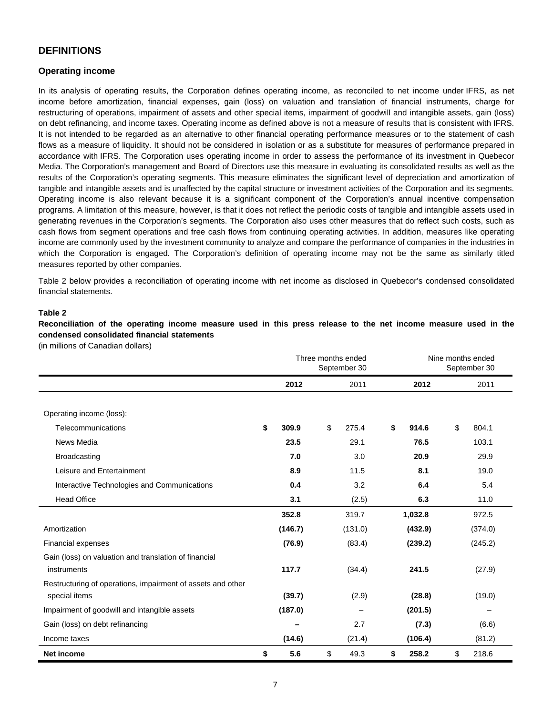## **DEFINITIONS**

#### **Operating income**

In its analysis of operating results, the Corporation defines operating income, as reconciled to net income under IFRS, as net income before amortization, financial expenses, gain (loss) on valuation and translation of financial instruments, charge for restructuring of operations, impairment of assets and other special items, impairment of goodwill and intangible assets, gain (loss) on debt refinancing, and income taxes. Operating income as defined above is not a measure of results that is consistent with IFRS. It is not intended to be regarded as an alternative to other financial operating performance measures or to the statement of cash flows as a measure of liquidity. It should not be considered in isolation or as a substitute for measures of performance prepared in accordance with IFRS. The Corporation uses operating income in order to assess the performance of its investment in Quebecor Media*.* The Corporation's management and Board of Directors use this measure in evaluating its consolidated results as well as the results of the Corporation's operating segments. This measure eliminates the significant level of depreciation and amortization of tangible and intangible assets and is unaffected by the capital structure or investment activities of the Corporation and its segments. Operating income is also relevant because it is a significant component of the Corporation's annual incentive compensation programs. A limitation of this measure, however, is that it does not reflect the periodic costs of tangible and intangible assets used in generating revenues in the Corporation's segments. The Corporation also uses other measures that do reflect such costs, such as cash flows from segment operations and free cash flows from continuing operating activities. In addition, measures like operating income are commonly used by the investment community to analyze and compare the performance of companies in the industries in which the Corporation is engaged. The Corporation's definition of operating income may not be the same as similarly titled measures reported by other companies.

Table 2 below provides a reconciliation of operating income with net income as disclosed in Quebecor's condensed consolidated financial statements.

#### **Table 2**

**Reconciliation of the operating income measure used in this press release to the net income measure used in the condensed consolidated financial statements** 

(in millions of Canadian dollars)

|                                                             |             | Three months ended<br>September 30 |    | Nine months ended<br>September 30 |    |         |
|-------------------------------------------------------------|-------------|------------------------------------|----|-----------------------------------|----|---------|
|                                                             | 2012        | 2011                               |    | 2012                              |    | 2011    |
|                                                             |             |                                    |    |                                   |    |         |
| Operating income (loss):                                    |             |                                    |    |                                   |    |         |
| Telecommunications                                          | \$<br>309.9 | \$<br>275.4                        | \$ | 914.6                             | \$ | 804.1   |
| News Media                                                  | 23.5        | 29.1                               |    | 76.5                              |    | 103.1   |
| <b>Broadcasting</b>                                         | 7.0         | 3.0                                |    | 20.9                              |    | 29.9    |
| Leisure and Entertainment                                   | 8.9         | 11.5                               |    | 8.1                               |    | 19.0    |
| Interactive Technologies and Communications                 | 0.4         | 3.2                                |    | 6.4                               |    | 5.4     |
| <b>Head Office</b>                                          | 3.1         | (2.5)                              |    | 6.3                               |    | 11.0    |
|                                                             | 352.8       | 319.7                              |    | 1,032.8                           |    | 972.5   |
| Amortization                                                | (146.7)     | (131.0)                            |    | (432.9)                           |    | (374.0) |
| <b>Financial expenses</b>                                   | (76.9)      | (83.4)                             |    | (239.2)                           |    | (245.2) |
| Gain (loss) on valuation and translation of financial       |             |                                    |    |                                   |    |         |
| instruments                                                 | 117.7       | (34.4)                             |    | 241.5                             |    | (27.9)  |
| Restructuring of operations, impairment of assets and other |             |                                    |    |                                   |    |         |
| special items                                               | (39.7)      | (2.9)                              |    | (28.8)                            |    | (19.0)  |
| Impairment of goodwill and intangible assets                | (187.0)     | -                                  |    | (201.5)                           |    |         |
| Gain (loss) on debt refinancing                             | -           | 2.7                                |    | (7.3)                             |    | (6.6)   |
| Income taxes                                                | (14.6)      | (21.4)                             |    | (106.4)                           |    | (81.2)  |
| <b>Net income</b>                                           | \$<br>5.6   | \$<br>49.3                         | \$ | 258.2                             | \$ | 218.6   |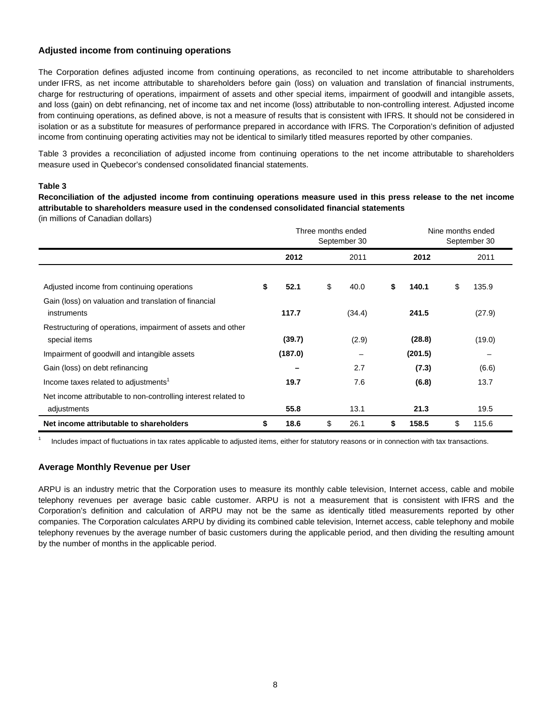### **Adjusted income from continuing operations**

The Corporation defines adjusted income from continuing operations, as reconciled to net income attributable to shareholders under IFRS, as net income attributable to shareholders before gain (loss) on valuation and translation of financial instruments, charge for restructuring of operations, impairment of assets and other special items, impairment of goodwill and intangible assets, and loss (gain) on debt refinancing, net of income tax and net income (loss) attributable to non-controlling interest. Adjusted income from continuing operations, as defined above, is not a measure of results that is consistent with IFRS. It should not be considered in isolation or as a substitute for measures of performance prepared in accordance with IFRS. The Corporation's definition of adjusted income from continuing operating activities may not be identical to similarly titled measures reported by other companies.

Table 3 provides a reconciliation of adjusted income from continuing operations to the net income attributable to shareholders measure used in Quebecor's condensed consolidated financial statements.

#### **Table 3**

**Reconciliation of the adjusted income from continuing operations measure used in this press release to the net income attributable to shareholders measure used in the condensed consolidated financial statements** 

(in millions of Canadian dollars)

|                                                                               | Three months ended<br>September 30 |         |    |        |    | Nine months ended<br>September 30 |    |        |  |  |
|-------------------------------------------------------------------------------|------------------------------------|---------|----|--------|----|-----------------------------------|----|--------|--|--|
|                                                                               |                                    | 2012    |    | 2011   |    | 2012                              |    | 2011   |  |  |
| Adjusted income from continuing operations                                    | \$                                 | 52.1    | \$ | 40.0   | \$ | 140.1                             | \$ | 135.9  |  |  |
| Gain (loss) on valuation and translation of financial<br>instruments          |                                    | 117.7   |    | (34.4) |    | 241.5                             |    | (27.9) |  |  |
| Restructuring of operations, impairment of assets and other<br>special items  |                                    | (39.7)  |    | (2.9)  |    | (28.8)                            |    | (19.0) |  |  |
| Impairment of goodwill and intangible assets                                  |                                    | (187.0) |    |        |    | (201.5)                           |    |        |  |  |
| Gain (loss) on debt refinancing                                               |                                    |         |    | 2.7    |    | (7.3)                             |    | (6.6)  |  |  |
| Income taxes related to adjustments <sup>1</sup>                              |                                    | 19.7    |    | 7.6    |    | (6.8)                             |    | 13.7   |  |  |
| Net income attributable to non-controlling interest related to<br>adjustments |                                    | 55.8    |    | 13.1   |    | 21.3                              |    | 19.5   |  |  |
| Net income attributable to shareholders                                       | \$                                 | 18.6    | \$ | 26.1   | \$ | 158.5                             | \$ | 115.6  |  |  |

1 Includes impact of fluctuations in tax rates applicable to adjusted items, either for statutory reasons or in connection with tax transactions.

#### **Average Monthly Revenue per User**

ARPU is an industry metric that the Corporation uses to measure its monthly cable television, Internet access, cable and mobile telephony revenues per average basic cable customer. ARPU is not a measurement that is consistent with IFRS and the Corporation's definition and calculation of ARPU may not be the same as identically titled measurements reported by other companies. The Corporation calculates ARPU by dividing its combined cable television, Internet access, cable telephony and mobile telephony revenues by the average number of basic customers during the applicable period, and then dividing the resulting amount by the number of months in the applicable period.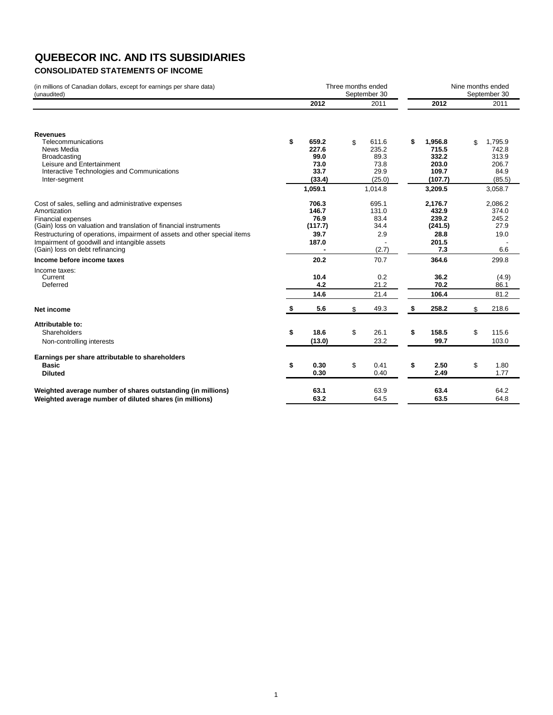## **CONSOLIDATED STATEMENTS OF INCOME**

(in millions of Canadian dollars, except for earnings per share data) (unaudited) **Revenues**  Telecommunications **\$ 659.2** \$ 611.6 **\$ 1,956.8** \$ 1,795.9 News Media **227.6** 235.2 **715.5** 742.8 Broadcasting **99.0** 89.3 **332.2** 313.9 Leisure and Entertainment **73.0** 73.8 **203.0** 206.7 Interactive Technologies and Communications<br>
Inter-segment **109.7** 29.9 **109.7** 29.9 **109.7** 84.9<br>
(33.4) (25.0) **107.7** (85.5) Inter-segment **(33.4)** (25.0) **(107.7)** (85.5) **1,059.1** 1,014.8 **3,209.5** 3,058.7 Cost of sales, selling and administrative expenses **706.3** 695.1 **2,176.7** 2,086.2 Amortization **146.7** 131.0 **432.9** 374.0 Financial expenses **76.9** 83.4 **239.2** 245.2 (Gain) loss on valuation and translation of financial instruments **(117.7)** 34.4 **(241.5)** 27.9 Restructuring of operations, impairment of assets and other special items **39.7** 2.9 28.8<br>187.0 201.5 197.0 Impairment of goodwill and intangible assets<br>
(Gain) loss on debt refinancing<br>
6.6 (Gain) loss on debt refinancing **Income before income taxes 20.2** 70.7 **364.6** 299.8 Income taxes: Current **10.4** 0.2 **36.2** (4.9) Deferred **4.2** 21.2 **70.2** 86.1  **14.6** 21.4 **106.4** 81.2 **Net income \$ 5.6** \$ 49.3 **\$ 258.2** \$ 218.6 **Attributable to:** Shareholders **\$ 18.6** \$ 26.1 **\$ 158.5** \$ 115.6 Non-controlling interests **(13.0)** 23.2 **99.7** 103.0 **Earnings per share attributable to shareholders Basic \$ 0.30** \$ 0.41 **\$ 2.50** \$ 1.80 **Diluted 0.30** 0.40 **2.49** 1.77 **Weighted average number of shares outstanding (in millions) 63.1** 63.9 **63.4** 64.2 Weighted average number of diluted shares (in millions) 63.2 64.5 63.5 64.8 Nine months ended  **2012** 2011 September 30 September 30  **2012** 2011 Three months ended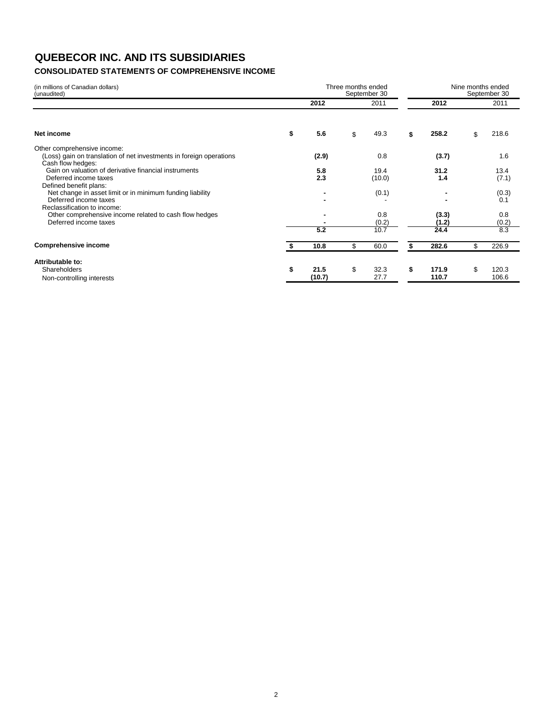## **CONSOLIDATED STATEMENTS OF COMPREHENSIVE INCOME**

| (in millions of Canadian dollars)<br>(unaudited)                                                                        |    | Three months ended<br>September 30 |    |                |    |                | Nine months ended<br>September 30 |                |  |  |  |  |
|-------------------------------------------------------------------------------------------------------------------------|----|------------------------------------|----|----------------|----|----------------|-----------------------------------|----------------|--|--|--|--|
|                                                                                                                         |    | 2012                               |    | 2011           |    | 2012           |                                   | 2011           |  |  |  |  |
| <b>Net income</b>                                                                                                       | \$ | 5.6                                | \$ | 49.3           | \$ | 258.2          | \$                                | 218.6          |  |  |  |  |
| Other comprehensive income:<br>(Loss) gain on translation of net investments in foreign operations<br>Cash flow hedges: |    | (2.9)                              |    | 0.8            |    | (3.7)          |                                   | 1.6            |  |  |  |  |
| Gain on valuation of derivative financial instruments<br>Deferred income taxes<br>Defined benefit plans:                |    | 5.8<br>2.3                         |    | 19.4<br>(10.0) |    | 31.2<br>1.4    |                                   | 13.4<br>(7.1)  |  |  |  |  |
| Net change in asset limit or in minimum funding liability<br>Deferred income taxes<br>Reclassification to income:       |    |                                    |    | (0.1)          |    |                |                                   | (0.3)<br>0.1   |  |  |  |  |
| Other comprehensive income related to cash flow hedges<br>Deferred income taxes                                         |    |                                    |    | 0.8<br>(0.2)   |    | (3.3)<br>(1.2) |                                   | 0.8<br>(0.2)   |  |  |  |  |
|                                                                                                                         |    | 5.2                                |    | 10.7           |    | 24.4           |                                   | 8.3            |  |  |  |  |
| <b>Comprehensive income</b>                                                                                             |    | 10.8                               | \$ | 60.0           |    | 282.6          | \$                                | 226.9          |  |  |  |  |
| Attributable to:<br><b>Shareholders</b><br>Non-controlling interests                                                    | \$ | 21.5<br>(10.7)                     | \$ | 32.3<br>27.7   | \$ | 171.9<br>110.7 | \$                                | 120.3<br>106.6 |  |  |  |  |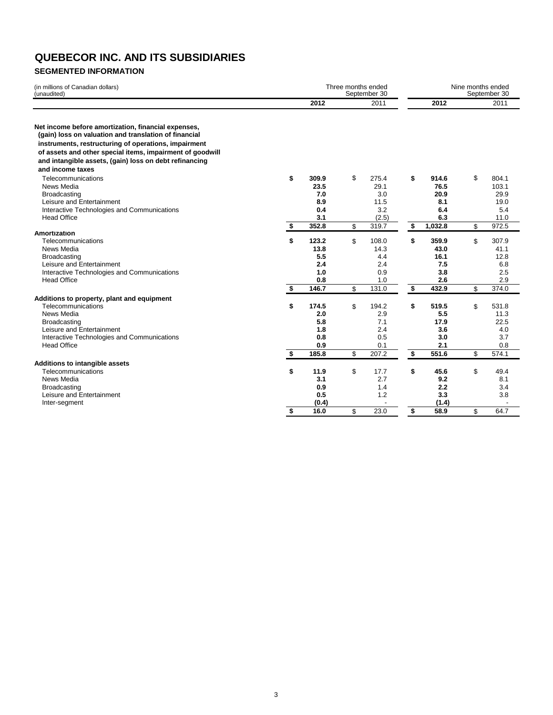# **SEGMENTED INFORMATION**

| (in millions of Canadian dollars)<br>(unaudited)                                                                                                                                                                                                                                                                | Three months ended<br>September 30 |                                                    |          | Nine months ended<br>September 30                     |          |                                                     |          |                                                     |
|-----------------------------------------------------------------------------------------------------------------------------------------------------------------------------------------------------------------------------------------------------------------------------------------------------------------|------------------------------------|----------------------------------------------------|----------|-------------------------------------------------------|----------|-----------------------------------------------------|----------|-----------------------------------------------------|
|                                                                                                                                                                                                                                                                                                                 |                                    | 2012                                               |          | 2011                                                  |          | 2012                                                |          | 2011                                                |
| Net income before amortization, financial expenses,<br>(gain) loss on valuation and translation of financial<br>instruments, restructuring of operations, impairment<br>of assets and other special items, impairment of goodwill<br>and intangible assets, (gain) loss on debt refinancing<br>and income taxes |                                    |                                                    |          |                                                       |          |                                                     |          |                                                     |
| Telecommunications<br>News Media<br><b>Broadcasting</b><br>Leisure and Entertainment<br>Interactive Technologies and Communications<br><b>Head Office</b>                                                                                                                                                       | \$                                 | 309.9<br>23.5<br>7.0<br>8.9<br>0.4<br>3.1          | \$       | 275.4<br>29.1<br>3.0<br>11.5<br>3.2<br>(2.5)          | \$       | 914.6<br>76.5<br>20.9<br>8.1<br>6.4<br>6.3          | \$       | 804.1<br>103.1<br>29.9<br>19.0<br>5.4<br>11.0       |
| Amortization                                                                                                                                                                                                                                                                                                    | \$                                 | 352.8                                              | \$       | 319.7                                                 | \$       | 1,032.8                                             | \$       | 972.5                                               |
| Telecommunications<br>News Media<br><b>Broadcasting</b><br>Leisure and Entertainment<br>Interactive Technologies and Communications<br><b>Head Office</b>                                                                                                                                                       | \$<br>\$                           | 123.2<br>13.8<br>5.5<br>2.4<br>1.0<br>0.8<br>146.7 | \$<br>\$ | 108.0<br>14.3<br>4.4<br>2.4<br>0.9<br>1.0<br>131.0    | \$<br>\$ | 359.9<br>43.0<br>16.1<br>7.5<br>3.8<br>2.6<br>432.9 | \$<br>\$ | 307.9<br>41.1<br>12.8<br>6.8<br>2.5<br>2.9<br>374.0 |
| Additions to property, plant and equipment<br>Telecommunications<br>News Media<br><b>Broadcasting</b><br>Leisure and Entertainment<br>Interactive Technologies and Communications<br><b>Head Office</b>                                                                                                         | \$<br>\$                           | 174.5<br>2.0<br>5.8<br>1.8<br>0.8<br>0.9<br>185.8  | \$<br>\$ | 194.2<br>2.9<br>7.1<br>2.4<br>0.5<br>0.1<br>207.2     | \$<br>\$ | 519.5<br>5.5<br>17.9<br>3.6<br>3.0<br>2.1<br>551.6  | \$<br>\$ | 531.8<br>11.3<br>22.5<br>4.0<br>3.7<br>0.8<br>574.1 |
| Additions to intangible assets<br>Telecommunications<br>News Media<br><b>Broadcasting</b><br>Leisure and Entertainment<br>Inter-segment                                                                                                                                                                         | \$                                 | 11.9<br>3.1<br>0.9<br>0.5<br>(0.4)                 | \$       | 17.7<br>2.7<br>1.4<br>1.2<br>$\overline{\phantom{a}}$ | \$       | 45.6<br>9.2<br>2.2<br>3.3<br>(1.4)                  | \$       | 49.4<br>8.1<br>3.4<br>3.8                           |
|                                                                                                                                                                                                                                                                                                                 | \$                                 | 16.0                                               | \$       | 23.0                                                  | \$       | 58.9                                                | \$       | 64.7                                                |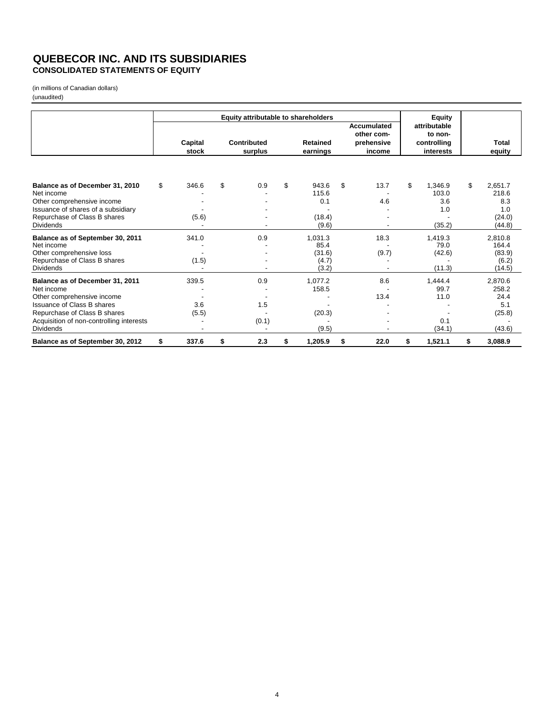## **QUEBECOR INC. AND ITS SUBSIDIARIES CONSOLIDATED STATEMENTS OF EQUITY**

(in millions of Canadian dollars)

(unaudited)

|                                                  | Equity attributable to shareholders |    |                    |    |                 |    |                                  |                         | <b>Equity</b> |                  |
|--------------------------------------------------|-------------------------------------|----|--------------------|----|-----------------|----|----------------------------------|-------------------------|---------------|------------------|
|                                                  |                                     |    |                    |    |                 |    | <b>Accumulated</b><br>other com- | attributable<br>to non- |               |                  |
|                                                  | Capital                             |    | <b>Contributed</b> |    | <b>Retained</b> |    | prehensive                       |                         | controlling   | <b>Total</b>     |
|                                                  | stock                               |    | surplus            |    | earnings        |    | income                           |                         | interests     | equity           |
|                                                  |                                     |    |                    |    |                 |    |                                  |                         |               |                  |
| Balance as of December 31, 2010                  | \$<br>346.6                         | \$ | 0.9                | \$ | 943.6           | \$ | 13.7                             | \$                      | 1,346.9       | \$<br>2,651.7    |
| Net income                                       |                                     |    |                    |    | 115.6           |    |                                  |                         | 103.0         | 218.6            |
| Other comprehensive income                       |                                     |    |                    |    | 0.1             |    | 4.6                              |                         | 3.6           | 8.3              |
| Issuance of shares of a subsidiary               |                                     |    |                    |    |                 |    |                                  |                         | 1.0           | 1.0              |
| Repurchase of Class B shares<br><b>Dividends</b> | (5.6)                               |    |                    |    | (18.4)<br>(9.6) |    |                                  |                         | (35.2)        | (24.0)<br>(44.8) |
| Balance as of September 30, 2011                 | 341.0                               |    | 0.9                |    | 1,031.3         |    | 18.3                             |                         | 1,419.3       | 2,810.8          |
| Net income                                       |                                     |    |                    |    | 85.4            |    |                                  |                         | 79.0          | 164.4            |
| Other comprehensive loss                         |                                     |    |                    |    | (31.6)          |    | (9.7)                            |                         | (42.6)        | (83.9)           |
| Repurchase of Class B shares                     | (1.5)                               |    |                    |    | (4.7)           |    |                                  |                         |               | (6.2)            |
| <b>Dividends</b>                                 |                                     |    |                    |    | (3.2)           |    |                                  |                         | (11.3)        | (14.5)           |
| Balance as of December 31, 2011                  | 339.5                               |    | 0.9                |    | 1,077.2         |    | 8.6                              |                         | 1,444.4       | 2,870.6          |
| Net income                                       |                                     |    |                    |    | 158.5           |    |                                  |                         | 99.7          | 258.2            |
| Other comprehensive income                       |                                     |    |                    |    |                 |    | 13.4                             |                         | 11.0          | 24.4             |
| <b>Issuance of Class B shares</b>                | 3.6                                 |    | 1.5                |    |                 |    |                                  |                         |               | 5.1              |
| Repurchase of Class B shares                     | (5.5)                               |    |                    |    | (20.3)          |    |                                  |                         |               | (25.8)           |
| Acquisition of non-controlling interests         |                                     |    | (0.1)              |    |                 |    |                                  |                         | 0.1           |                  |
| <b>Dividends</b>                                 |                                     |    |                    |    | (9.5)           |    |                                  |                         | (34.1)        | (43.6)           |
| Balance as of September 30, 2012                 | \$<br>337.6                         | \$ | 2.3                | \$ | 1,205.9         | \$ | 22.0                             | \$                      | 1,521.1       | \$<br>3,088.9    |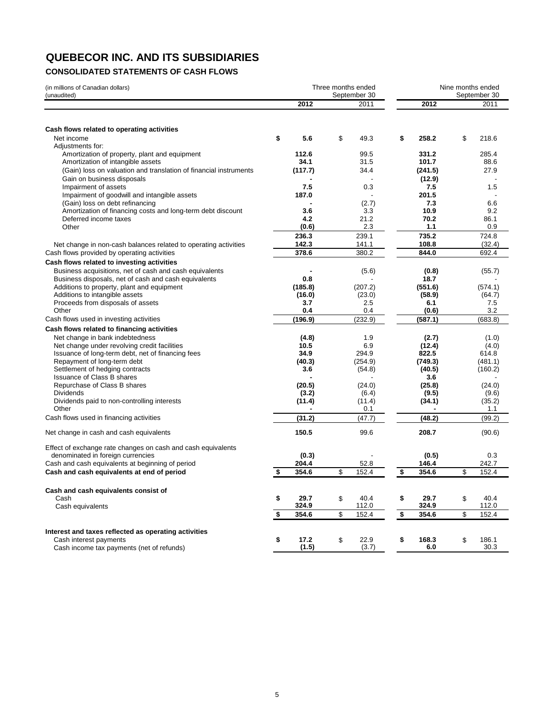## **CONSOLIDATED STATEMENTS OF CASH FLOWS**

| (in millions of Canadian dollars)<br>(unaudited)                                |    |              | Three months ended<br>September 30 | Nine months ended<br>September 30 |              |    |         |  |  |
|---------------------------------------------------------------------------------|----|--------------|------------------------------------|-----------------------------------|--------------|----|---------|--|--|
|                                                                                 |    | 2012         | 2011                               |                                   | 2012         |    | 2011    |  |  |
|                                                                                 |    |              |                                    |                                   |              |    |         |  |  |
| Cash flows related to operating activities                                      |    |              |                                    |                                   |              |    |         |  |  |
| Net income                                                                      | \$ | 5.6          | \$<br>49.3                         | \$                                | 258.2        | \$ | 218.6   |  |  |
| Adjustments for:                                                                |    |              |                                    |                                   |              |    |         |  |  |
| Amortization of property, plant and equipment                                   |    | 112.6        | 99.5                               |                                   | 331.2        |    | 285.4   |  |  |
| Amortization of intangible assets                                               |    | 34.1         | 31.5                               |                                   | 101.7        |    | 88.6    |  |  |
| (Gain) loss on valuation and translation of financial instruments               |    | (117.7)      | 34.4                               |                                   | (241.5)      |    | 27.9    |  |  |
| Gain on business disposals                                                      |    |              |                                    |                                   | (12.9)       |    |         |  |  |
| Impairment of assets                                                            |    | 7.5<br>187.0 | 0.3                                |                                   | 7.5<br>201.5 |    | 1.5     |  |  |
| Impairment of goodwill and intangible assets<br>(Gain) loss on debt refinancing |    |              | (2.7)                              |                                   | 7.3          |    | 6.6     |  |  |
| Amortization of financing costs and long-term debt discount                     |    | 3.6          | 3.3                                |                                   | 10.9         |    | 9.2     |  |  |
| Deferred income taxes                                                           |    | 4.2          | 21.2                               |                                   | 70.2         |    | 86.1    |  |  |
| Other                                                                           |    | (0.6)        | 2.3                                |                                   | 1.1          |    | 0.9     |  |  |
|                                                                                 |    | 236.3        | 239.1                              |                                   | 735.2        |    | 724.8   |  |  |
| Net change in non-cash balances related to operating activities                 |    | 142.3        | 141.1                              |                                   | 108.8        |    | (32.4)  |  |  |
| Cash flows provided by operating activities                                     |    | 378.6        | 380.2                              |                                   | 844.0        |    | 692.4   |  |  |
| Cash flows related to investing activities                                      |    |              |                                    |                                   |              |    |         |  |  |
| Business acquisitions, net of cash and cash equivalents                         |    |              | (5.6)                              |                                   | (0.8)        |    | (55.7)  |  |  |
| Business disposals, net of cash and cash equivalents                            |    | 0.8          |                                    |                                   | 18.7         |    |         |  |  |
| Additions to property, plant and equipment                                      |    | (185.8)      | (207.2)                            |                                   | (551.6)      |    | (574.1) |  |  |
| Additions to intangible assets                                                  |    | (16.0)       | (23.0)                             |                                   | (58.9)       |    | (64.7)  |  |  |
| Proceeds from disposals of assets                                               |    | 3.7          | 2.5                                |                                   | 6.1          |    | 7.5     |  |  |
| Other                                                                           |    | 0.4          | 0.4                                |                                   | (0.6)        |    | 3.2     |  |  |
| Cash flows used in investing activities                                         |    | (196.9)      | (232.9)                            |                                   | (587.1)      |    | (683.8) |  |  |
| Cash flows related to financing activities                                      |    |              |                                    |                                   |              |    |         |  |  |
| Net change in bank indebtedness                                                 |    | (4.8)        | 1.9                                |                                   | (2.7)        |    | (1.0)   |  |  |
| Net change under revolving credit facilities                                    |    | 10.5         | 6.9                                |                                   | (12.4)       |    | (4.0)   |  |  |
| Issuance of long-term debt, net of financing fees                               |    | 34.9         | 294.9                              |                                   | 822.5        |    | 614.8   |  |  |
| Repayment of long-term debt                                                     |    | (40.3)       | (254.9)                            |                                   | (749.3)      |    | (481.1) |  |  |
| Settlement of hedging contracts                                                 |    | 3.6          | (54.8)                             |                                   | (40.5)       |    | (160.2) |  |  |
| <b>Issuance of Class B shares</b>                                               |    |              |                                    |                                   | 3.6          |    |         |  |  |
| Repurchase of Class B shares                                                    |    | (20.5)       | (24.0)                             |                                   | (25.8)       |    | (24.0)  |  |  |
| <b>Dividends</b>                                                                |    | (3.2)        | (6.4)                              |                                   | (9.5)        |    | (9.6)   |  |  |
| Dividends paid to non-controlling interests                                     |    | (11.4)       | (11.4)                             |                                   | (34.1)       |    | (35.2)  |  |  |
| Other                                                                           |    |              | 0.1                                |                                   |              |    | 1.1     |  |  |
| Cash flows used in financing activities                                         |    | (31.2)       | (47.7)                             |                                   | (48.2)       |    | (99.2)  |  |  |
| Net change in cash and cash equivalents                                         |    | 150.5        | 99.6                               |                                   | 208.7        |    | (90.6)  |  |  |
| Effect of exchange rate changes on cash and cash equivalents                    |    |              |                                    |                                   |              |    |         |  |  |
| denominated in foreign currencies                                               |    | (0.3)        |                                    |                                   | (0.5)        |    | 0.3     |  |  |
| Cash and cash equivalents at beginning of period                                |    | 204.4        | 52.8                               |                                   | 146.4        |    | 242.7   |  |  |
| Cash and cash equivalents at end of period                                      | \$ | 354.6        | \$<br>152.4                        | \$                                | 354.6        | \$ | 152.4   |  |  |
|                                                                                 |    |              |                                    |                                   |              |    |         |  |  |
|                                                                                 |    |              |                                    |                                   |              |    |         |  |  |
| Cash and cash equivalents consist of<br>Cash                                    | \$ | 29.7         | \$<br>40.4                         | \$                                | 29.7         | \$ | 40.4    |  |  |
| Cash equivalents                                                                |    | 324.9        | 112.0                              |                                   | 324.9        |    | 112.0   |  |  |
|                                                                                 | \$ | 354.6        | \$<br>152.4                        | \$                                | 354.6        | \$ | 152.4   |  |  |
|                                                                                 |    |              |                                    |                                   |              |    |         |  |  |
| Interest and taxes reflected as operating activities                            |    |              |                                    |                                   |              |    |         |  |  |
| Cash interest payments                                                          | \$ | 17.2         | \$<br>22.9                         | \$                                | 168.3        | \$ | 186.1   |  |  |
| Cash income tax payments (net of refunds)                                       |    | (1.5)        | (3.7)                              |                                   | 6.0          |    | 30.3    |  |  |